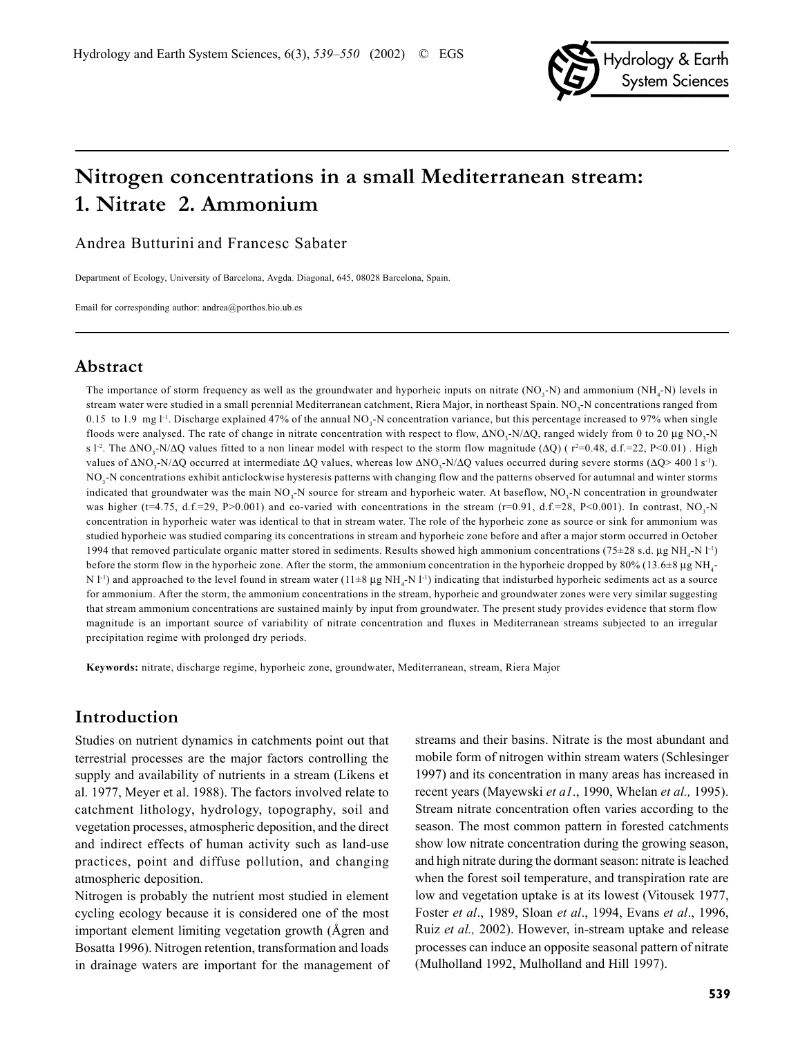

# **Nitrogen concentrations in a small Mediterranean stream: 1. Nitrate 2. Ammonium**

Andrea Butturini and Francesc Sabater

Department of Ecology, University of Barcelona, Avgda. Diagonal, 645, 08028 Barcelona, Spain.

Email for corresponding author: andrea@porthos.bio.ub.es

### **Abstract**

The importance of storm frequency as well as the groundwater and hyporheic inputs on nitrate  $(NO<sub>3</sub>-N)$  and ammonium  $(NH<sub>4</sub>-N)$  levels in stream water were studied in a small perennial Mediterranean catchment, Riera Major, in northeast Spain. NO<sub>3</sub>-N concentrations ranged from 0.15 to 1.9 mg l<sup>-1</sup>. Discharge explained 47% of the annual NO<sub>3</sub>-N concentration variance, but this percentage increased to 97% when single floods were analysed. The rate of change in nitrate concentration with respect to flow,  $\Delta NO_3-N/\Delta Q$ , ranged widely from 0 to 20 µg NO<sub>3</sub>-N s l<sup>-2</sup>. The  $\Delta NO_3$ -N/ $\Delta Q$  values fitted to a non linear model with respect to the storm flow magnitude ( $\Delta Q$ ) ( r<sup>2</sup>=0.48, d.f.=22, P<0.01). High values of  $\Delta NO_3$ -N/ $\Delta Q$  occurred at intermediate  $\Delta Q$  values, whereas low  $\Delta NO_3$ -N/ $\Delta Q$  values occurred during severe storms ( $\Delta Q$ > 400 l s<sup>-1</sup>).  $NO<sub>3</sub>$ -N concentrations exhibit anticlockwise hysteresis patterns with changing flow and the patterns observed for autumnal and winter storms indicated that groundwater was the main NO<sub>3</sub>-N source for stream and hyporheic water. At baseflow, NO<sub>3</sub>-N concentration in groundwater was higher (t=4.75, d.f.=29, P>0.001) and co-varied with concentrations in the stream (r=0.91, d.f.=28, P<0.001). In contrast, NO<sub>3</sub>-N concentration in hyporheic water was identical to that in stream water. The role of the hyporheic zone as source or sink for ammonium was studied hyporheic was studied comparing its concentrations in stream and hyporheic zone before and after a major storm occurred in October 1994 that removed particulate organic matter stored in sediments. Results showed high ammonium concentrations (75 $\pm$ 28 s.d. µg NH<sub>4</sub>-N l<sup>-1</sup>) before the storm flow in the hyporheic zone. After the storm, the ammonium concentration in the hyporheic dropped by 80% (13.6 $\pm 8 \mu$ g NH<sub>4</sub>-N  $1$ <sup>-1</sup>) and approached to the level found in stream water  $(11\pm 8 \mu g NH<sub>4</sub>-N 1<sup>-1</sup>)$  indicating that indisturbed hyporheic sediments act as a source for ammonium. After the storm, the ammonium concentrations in the stream, hyporheic and groundwater zones were very similar suggesting that stream ammonium concentrations are sustained mainly by input from groundwater. The present study provides evidence that storm flow magnitude is an important source of variability of nitrate concentration and fluxes in Mediterranean streams subjected to an irregular precipitation regime with prolonged dry periods.

**Keywords:** nitrate, discharge regime, hyporheic zone, groundwater, Mediterranean, stream, Riera Major

# **Introduction**

Studies on nutrient dynamics in catchments point out that terrestrial processes are the major factors controlling the supply and availability of nutrients in a stream (Likens et al. 1977, Meyer et al. 1988). The factors involved relate to catchment lithology, hydrology, topography, soil and vegetation processes, atmospheric deposition, and the direct and indirect effects of human activity such as land-use practices, point and diffuse pollution, and changing atmospheric deposition.

Nitrogen is probably the nutrient most studied in element cycling ecology because it is considered one of the most important element limiting vegetation growth (Ågren and Bosatta 1996). Nitrogen retention, transformation and loads in drainage waters are important for the management of streams and their basins. Nitrate is the most abundant and mobile form of nitrogen within stream waters (Schlesinger 1997) and its concentration in many areas has increased in recent years (Mayewski *et a1*., 1990, Whelan *et al.,* 1995). Stream nitrate concentration often varies according to the season. The most common pattern in forested catchments show low nitrate concentration during the growing season, and high nitrate during the dormant season: nitrate is leached when the forest soil temperature, and transpiration rate are low and vegetation uptake is at its lowest (Vitousek 1977, Foster *et al*., 1989, Sloan *et al*., 1994, Evans *et al*., 1996, Ruiz *et al.,* 2002). However, in-stream uptake and release processes can induce an opposite seasonal pattern of nitrate (Mulholland 1992, Mulholland and Hill 1997).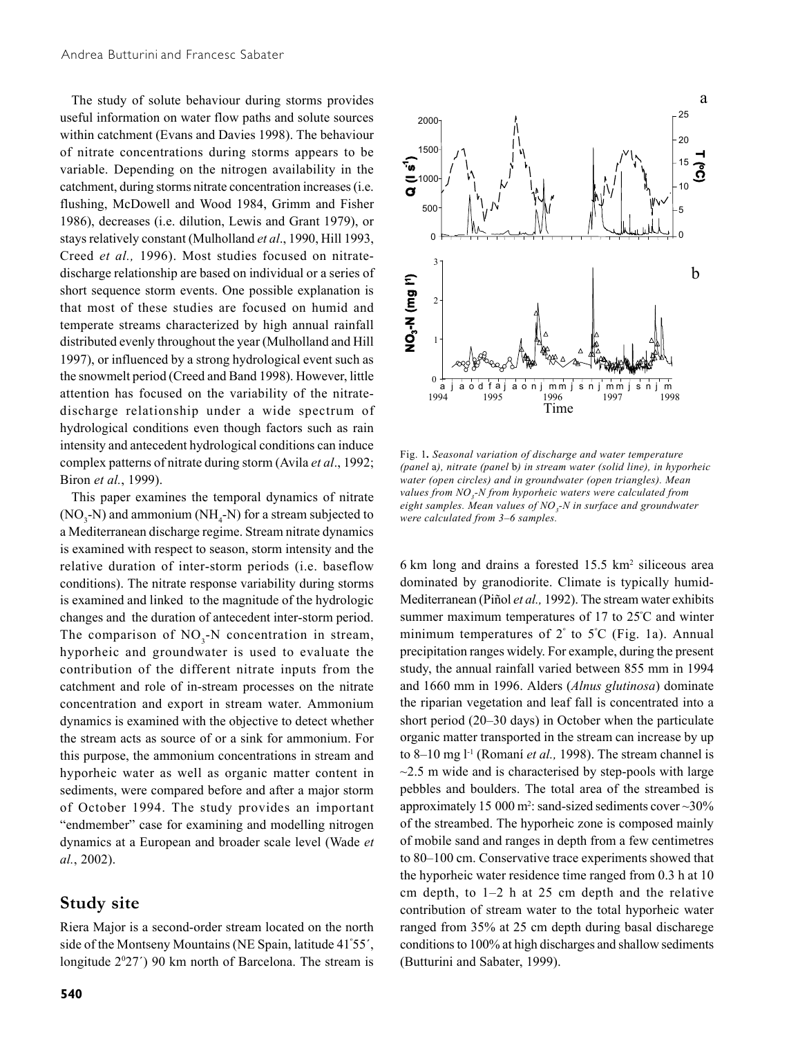The study of solute behaviour during storms provides useful information on water flow paths and solute sources within catchment (Evans and Davies 1998). The behaviour of nitrate concentrations during storms appears to be variable. Depending on the nitrogen availability in the catchment, during storms nitrate concentration increases (i.e. flushing, McDowell and Wood 1984, Grimm and Fisher 1986), decreases (i.e. dilution, Lewis and Grant 1979), or stays relatively constant (Mulholland *et al*., 1990, Hill 1993, Creed *et al.,* 1996). Most studies focused on nitratedischarge relationship are based on individual or a series of short sequence storm events. One possible explanation is that most of these studies are focused on humid and temperate streams characterized by high annual rainfall distributed evenly throughout the year (Mulholland and Hill 1997), or influenced by a strong hydrological event such as the snowmelt period (Creed and Band 1998). However, little attention has focused on the variability of the nitratedischarge relationship under a wide spectrum of hydrological conditions even though factors such as rain intensity and antecedent hydrological conditions can induce complex patterns of nitrate during storm (Avila *et al*., 1992; Biron *et al.*, 1999).

This paper examines the temporal dynamics of nitrate  $(NO<sub>3</sub>-N)$  and ammonium  $(NH<sub>4</sub>-N)$  for a stream subjected to a Mediterranean discharge regime. Stream nitrate dynamics is examined with respect to season, storm intensity and the relative duration of inter-storm periods (i.e. baseflow conditions). The nitrate response variability during storms is examined and linked to the magnitude of the hydrologic changes and the duration of antecedent inter-storm period. The comparison of  $NO<sub>3</sub>$ -N concentration in stream, hyporheic and groundwater is used to evaluate the contribution of the different nitrate inputs from the catchment and role of in-stream processes on the nitrate concentration and export in stream water. Ammonium dynamics is examined with the objective to detect whether the stream acts as source of or a sink for ammonium. For this purpose, the ammonium concentrations in stream and hyporheic water as well as organic matter content in sediments, were compared before and after a major storm of October 1994. The study provides an important "endmember" case for examining and modelling nitrogen dynamics at a European and broader scale level (Wade *et al.*, 2002).

### **Study site**

Riera Major is a second-order stream located on the north side of the Montseny Mountains (NE Spain, latitude 41º 55´, longitude 2<sup>0</sup>27<sup>'</sup>) 90 km north of Barcelona. The stream is



Fig. 1*. Seasonal variation of discharge and water temperature (panel* a*), nitrate (panel* b*) in stream water (solid line), in hyporheic water (open circles) and in groundwater (open triangles). Mean values from NO3 -N from hyporheic waters were calculated from eight samples. Mean values of NO3 -N in surface and groundwater were calculated from 3–6 samples.*

6 km long and drains a forested 15.5 km2 siliceous area dominated by granodiorite. Climate is typically humid-Mediterranean (Piñol *et al.,* 1992). The stream water exhibits summer maximum temperatures of 17 to 25º C and winter minimum temperatures of 2º to 5º C (Fig. 1a). Annual precipitation ranges widely. For example, during the present study, the annual rainfall varied between 855 mm in 1994 and 1660 mm in 1996. Alders (*Alnus glutinosa*) dominate the riparian vegetation and leaf fall is concentrated into a short period (20–30 days) in October when the particulate organic matter transported in the stream can increase by up to 8–10 mg l-1 (Romaní *et al.,* 1998). The stream channel is  $\sim$ 2.5 m wide and is characterised by step-pools with large pebbles and boulders. The total area of the streambed is approximately 15 000 m<sup>2</sup>: sand-sized sediments cover  $\sim$  30% of the streambed. The hyporheic zone is composed mainly of mobile sand and ranges in depth from a few centimetres to 80–100 cm. Conservative trace experiments showed that the hyporheic water residence time ranged from 0.3 h at 10 cm depth, to 1–2 h at 25 cm depth and the relative contribution of stream water to the total hyporheic water ranged from 35% at 25 cm depth during basal discharege conditions to 100% at high discharges and shallow sediments (Butturini and Sabater, 1999).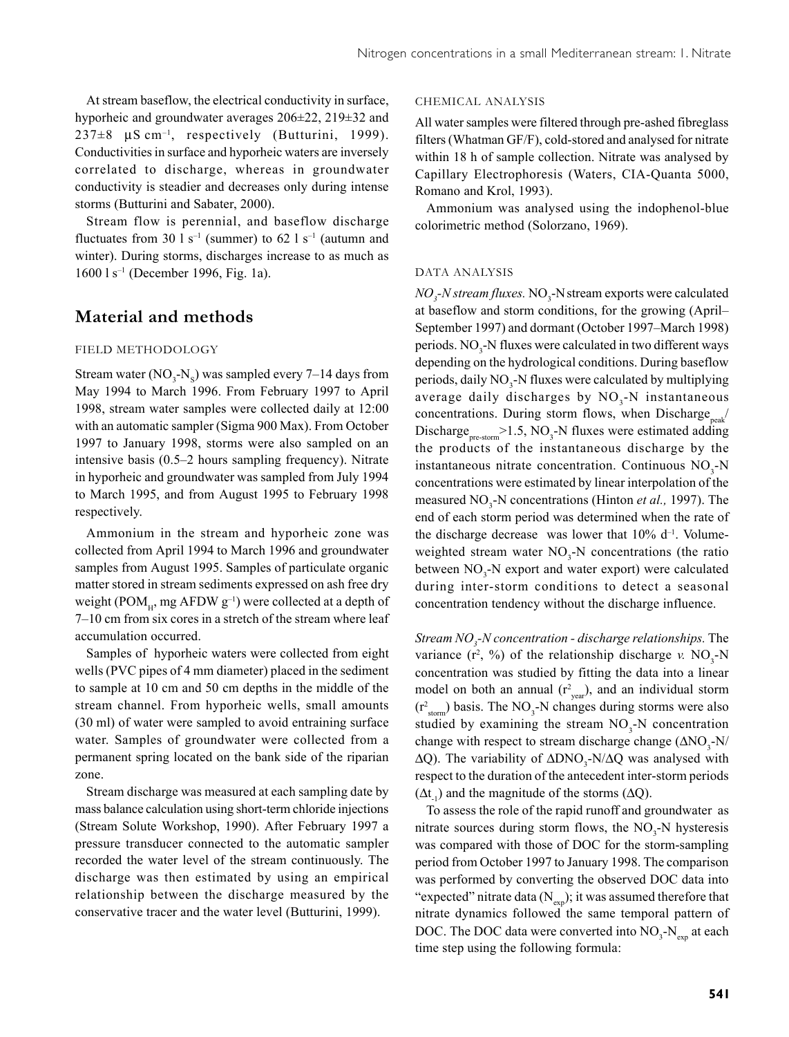At stream baseflow, the electrical conductivity in surface, hyporheic and groundwater averages 206±22, 219±32 and  $237\pm8$  µS cm<sup>-1</sup>, respectively (Butturini, 1999). Conductivities in surface and hyporheic waters are inversely correlated to discharge, whereas in groundwater conductivity is steadier and decreases only during intense storms (Butturini and Sabater, 2000).

Stream flow is perennial, and baseflow discharge fluctuates from 30 l s<sup>-1</sup> (summer) to 62 l s<sup>-1</sup> (autumn and winter). During storms, discharges increase to as much as 1600 l s–1 (December 1996, Fig. 1a).

# **Material and methods**

#### FIELD METHODOLOGY

Stream water  $(NO_3-N_5)$  was sampled every 7–14 days from May 1994 to March 1996. From February 1997 to April 1998, stream water samples were collected daily at 12:00 with an automatic sampler (Sigma 900 Max). From October 1997 to January 1998, storms were also sampled on an intensive basis (0.5–2 hours sampling frequency). Nitrate in hyporheic and groundwater was sampled from July 1994 to March 1995, and from August 1995 to February 1998 respectively.

Ammonium in the stream and hyporheic zone was collected from April 1994 to March 1996 and groundwater samples from August 1995. Samples of particulate organic matter stored in stream sediments expressed on ash free dry weight (POM<sub>H</sub>, mg AFDW  $g^{-1}$ ) were collected at a depth of 7–10 cm from six cores in a stretch of the stream where leaf accumulation occurred.

Samples of hyporheic waters were collected from eight wells (PVC pipes of 4 mm diameter) placed in the sediment to sample at 10 cm and 50 cm depths in the middle of the stream channel. From hyporheic wells, small amounts (30 ml) of water were sampled to avoid entraining surface water. Samples of groundwater were collected from a permanent spring located on the bank side of the riparian zone.

Stream discharge was measured at each sampling date by mass balance calculation using short-term chloride injections (Stream Solute Workshop, 1990). After February 1997 a pressure transducer connected to the automatic sampler recorded the water level of the stream continuously. The discharge was then estimated by using an empirical relationship between the discharge measured by the conservative tracer and the water level (Butturini, 1999).

#### CHEMICAL ANALYSIS

All water samples were filtered through pre-ashed fibreglass filters (Whatman GF/F), cold-stored and analysed for nitrate within 18 h of sample collection. Nitrate was analysed by Capillary Electrophoresis (Waters, CIA-Quanta 5000, Romano and Krol, 1993).

Ammonium was analysed using the indophenol-blue colorimetric method (Solorzano, 1969).

#### DATA ANALYSIS

 $NO<sub>3</sub>$ -*N* stream fluxes.  $NO<sub>3</sub>$ -*N* stream exports were calculated at baseflow and storm conditions, for the growing (April– September 1997) and dormant (October 1997–March 1998) periods. NO<sub>3</sub>-N fluxes were calculated in two different ways depending on the hydrological conditions. During baseflow periods, daily NO<sub>3</sub>-N fluxes were calculated by multiplying average daily discharges by  $NO<sub>3</sub>-N$  instantaneous concentrations. During storm flows, when Discharge $_{peak}$ / Discharge<sub>pre-storm</sub> > 1.5, NO<sub>3</sub>-N fluxes were estimated adding the products of the instantaneous discharge by the instantaneous nitrate concentration. Continuous  $NO<sub>3</sub>$ -N concentrations were estimated by linear interpolation of the measured NO<sub>3</sub>-N concentrations (Hinton *et al.,* 1997). The end of each storm period was determined when the rate of the discharge decrease was lower that 10% d<sup>-1</sup>. Volumeweighted stream water  $NO<sub>3</sub>-N$  concentrations (the ratio between NO<sub>3</sub>-N export and water export) were calculated during inter-storm conditions to detect a seasonal concentration tendency without the discharge influence.

*Stream NO3 -N concentration - discharge relationships.* The variance  $(r^2, %)$  of the relationship discharge *v*. NO<sub>3</sub>-N concentration was studied by fitting the data into a linear model on both an annual  $(r^2_{year})$ , and an individual storm  $(r<sup>2</sup><sub>storm</sub>)$  basis. The NO<sub>3</sub>-N changes during storms were also studied by examining the stream  $NO<sub>3</sub>$ -N concentration change with respect to stream discharge change  $(2NO_3-N/M)$  $ΔQ$ ). The variability of  $ΔDNO_3-N/ΔQ$  was analysed with respect to the duration of the antecedent inter-storm periods  $(\Delta t_{.1})$  and the magnitude of the storms ( $\Delta Q$ ).

To assess the role of the rapid runoff and groundwater as mitrate sources during storm flows, the  $NO<sub>3</sub>$ -N hysteresis was compared with those of DOC for the storm-sampling period from October 1997 to January 1998. The comparison was performed by converting the observed DOC data into "expected" nitrate data  $(N_{\text{exp}})$ ; it was assumed therefore that nitrate dynamics followed the same temporal pattern of DOC. The DOC data were converted into  $NO_3$ - $N_{\text{exp}}$  at each time step using the following formula: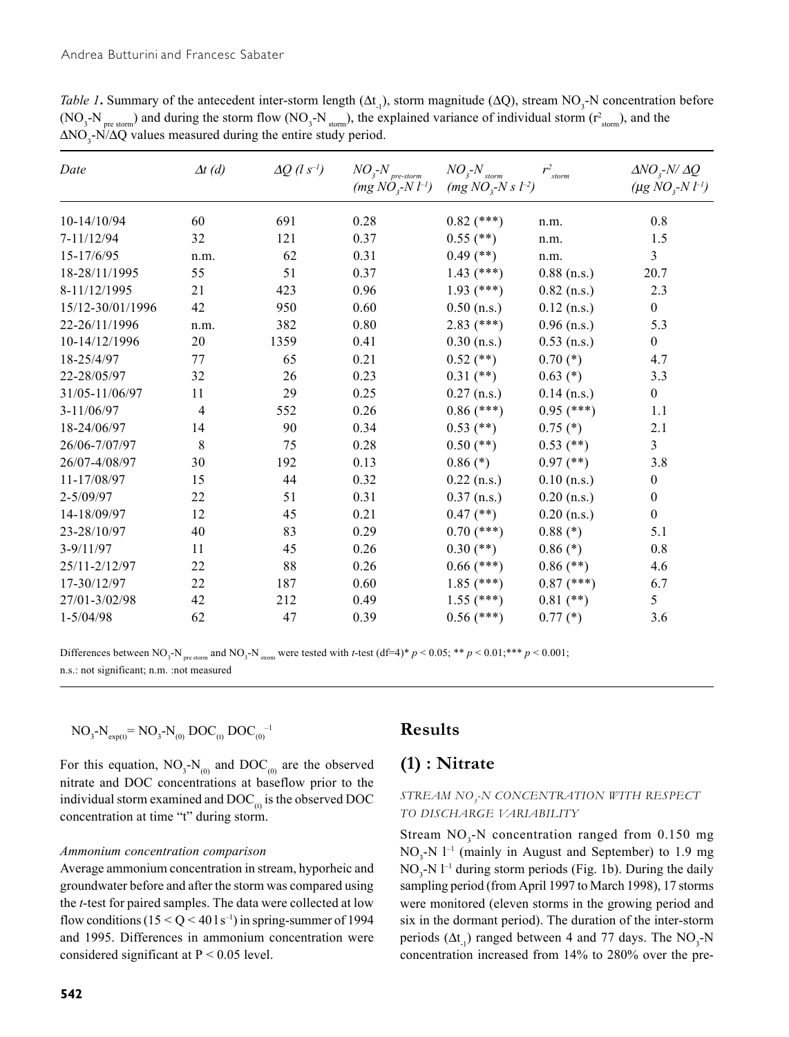*Table 1***.** Summary of the antecedent inter-storm length  $(\Delta t_1)$ , storm magnitude  $(\Delta Q)$ , stream NO<sub>3</sub>-N concentration before (NO<sub>3</sub>-N<sub>pre storm</sub>) and during the storm flow (NO<sub>3</sub>-N<sub>storm</sub>), the explained variance of individual storm ( $r_{\text{storm}}^2$ ), and the  $\Delta NO_3$ -N/ $\Delta Q$  values measured during the entire study period.

| Date             | $\Delta t$ (d) | $\Delta Q$ (l s <sup>-1</sup> ) | $NO_{\it 3}$ - $N_{\it pre\text{-}storm}$<br>$(mg\,NO_{3}~N~l^{-1})$ | $NO3$ - $Nstorm$<br>$(mg\,NO_{3}~Ns\,l^{-2})$ | $r^2$ <sub>storm</sub> | $\Delta NO, N/\Delta Q$<br>( $\mu$ g NO <sub>3</sub> -N $l^{-1}$ ) |
|------------------|----------------|---------------------------------|----------------------------------------------------------------------|-----------------------------------------------|------------------------|--------------------------------------------------------------------|
| 10-14/10/94      | 60             | 691                             | 0.28                                                                 | $0.82$ (***)                                  | n.m.                   | 0.8                                                                |
| 7-11/12/94       | 32             | 121                             | 0.37                                                                 | $0.55$ (**)                                   | n.m.                   | 1.5                                                                |
| 15-17/6/95       | n.m.           | 62                              | 0.31                                                                 | $0.49$ (**)                                   | n.m.                   | 3                                                                  |
| 18-28/11/1995    | 55             | 51                              | 0.37                                                                 | $1.43$ (***)                                  | $0.88$ (n.s.)          | 20.7                                                               |
| 8-11/12/1995     | 21             | 423                             | 0.96                                                                 | $1.93$ (***)                                  | $0.82$ (n.s.)          | 2.3                                                                |
| 15/12-30/01/1996 | 42             | 950                             | 0.60                                                                 | $0.50$ (n.s.)                                 | $0.12$ (n.s.)          | $\boldsymbol{0}$                                                   |
| 22-26/11/1996    | n.m.           | 382                             | $0.80\,$                                                             | $2.83$ (***)                                  | $0.96$ (n.s.)          | 5.3                                                                |
| 10-14/12/1996    | 20             | 1359                            | 0.41                                                                 | $0.30$ (n.s.)                                 | $0.53$ (n.s.)          | $\boldsymbol{0}$                                                   |
| 18-25/4/97       | 77             | 65                              | 0.21                                                                 | $0.52$ (**)                                   | $0.70$ (*)             | 4.7                                                                |
| 22-28/05/97      | 32             | 26                              | 0.23                                                                 | $0.31$ (**)                                   | $0.63$ (*)             | 3.3                                                                |
| 31/05-11/06/97   | 11             | 29                              | 0.25                                                                 | $0.27$ (n.s.)                                 | $0.14$ (n.s.)          | $\boldsymbol{0}$                                                   |
| $3-11/06/97$     | $\overline{4}$ | 552                             | 0.26                                                                 | $0.86$ (***)                                  | $0.95$ (***)           | 1.1                                                                |
| 18-24/06/97      | 14             | 90                              | 0.34                                                                 | $0.53$ (**)                                   | $0.75$ $(*)$           | 2.1                                                                |
| 26/06-7/07/97    | 8              | 75                              | 0.28                                                                 | $0.50$ (**)                                   | $0.53$ (**)            | $\overline{3}$                                                     |
| 26/07-4/08/97    | 30             | 192                             | 0.13                                                                 | $0.86$ (*)                                    | $0.97$ (**)            | 3.8                                                                |
| 11-17/08/97      | 15             | 44                              | 0.32                                                                 | $0.22$ (n.s.)                                 | $0.10$ (n.s.)          | $\boldsymbol{0}$                                                   |
| $2 - 5/09/97$    | 22             | 51                              | 0.31                                                                 | $0.37$ (n.s.)                                 | $0.20$ (n.s.)          | $\boldsymbol{0}$                                                   |
| 14-18/09/97      | 12             | 45                              | 0.21                                                                 | $0.47$ (**)                                   | $0.20$ (n.s.)          | $\boldsymbol{0}$                                                   |
| 23-28/10/97      | 40             | 83                              | 0.29                                                                 | $0.70$ (***)                                  | $0.88$ (*)             | 5.1                                                                |
| $3 - 9/11/97$    | 11             | 45                              | 0.26                                                                 | $0.30$ (**)                                   | $0.86$ (*)             | 0.8                                                                |
| 25/11-2/12/97    | 22             | 88                              | 0.26                                                                 | $0.66$ (***)                                  | $0.86$ (**)            | 4.6                                                                |
| 17-30/12/97      | 22             | 187                             | 0.60                                                                 | $1.85$ (***)                                  | $0.87$ (***)           | 6.7                                                                |
| 27/01-3/02/98    | 42             | 212                             | 0.49                                                                 | $1.55$ (***)                                  | $0.81$ (**)            | 5                                                                  |
| $1 - 5/04/98$    | 62             | 47                              | 0.39                                                                 | $0.56$ (***)                                  | $0.77$ (*)             | 3.6                                                                |

Differences between  $NO_3$ - $N_{\text{pre storm}}$  and  $NO_3$ - $N_{\text{atom}}$  were tested with *t*-test (df=4)\*  $p < 0.05$ ; \*\*  $p < 0.01$ ;\*\*\*  $p < 0.001$ ; n.s.: not significant; n.m. :not measured

$$
NO_3-N_{\exp(t)} = NO_3-N_{(0)} DOC_{(t)} DOC_{(0)}^{-1}
$$

For this equation,  $NO_3$ - $N_{(0)}$  and  $DOC_{(0)}$  are the observed nitrate and DOC concentrations at baseflow prior to the individual storm examined and  $DOC_{\theta}$  is the observed DOC concentration at time "t" during storm.

#### *Ammonium concentration comparison*

Average ammonium concentration in stream, hyporheic and groundwater before and after the storm was compared using the *t*-test for paired samples. The data were collected at low flow conditions  $(15 < Q < 401 s^{-1})$  in spring-summer of 1994 and 1995. Differences in ammonium concentration were considered significant at  $P < 0.05$  level.

# **Results**

# **(1) : Nitrate**

### *STREAM NO3 -N CONCENTRATION WITH RESPECT TO DISCHARGE VARIABILITY*

Stream  $NO_3$ -N concentration ranged from 0.150 mg  $NO<sub>3</sub>-N$  l<sup>-1</sup> (mainly in August and September) to 1.9 mg  $NO<sub>3</sub> - N l<sup>-1</sup>$  during storm periods (Fig. 1b). During the daily sampling period (from April 1997 to March 1998), 17 storms were monitored (eleven storms in the growing period and six in the dormant period). The duration of the inter-storm periods  $(\Delta t_{.1})$  ranged between 4 and 77 days. The NO<sub>3</sub>-N concentration increased from 14% to 280% over the pre-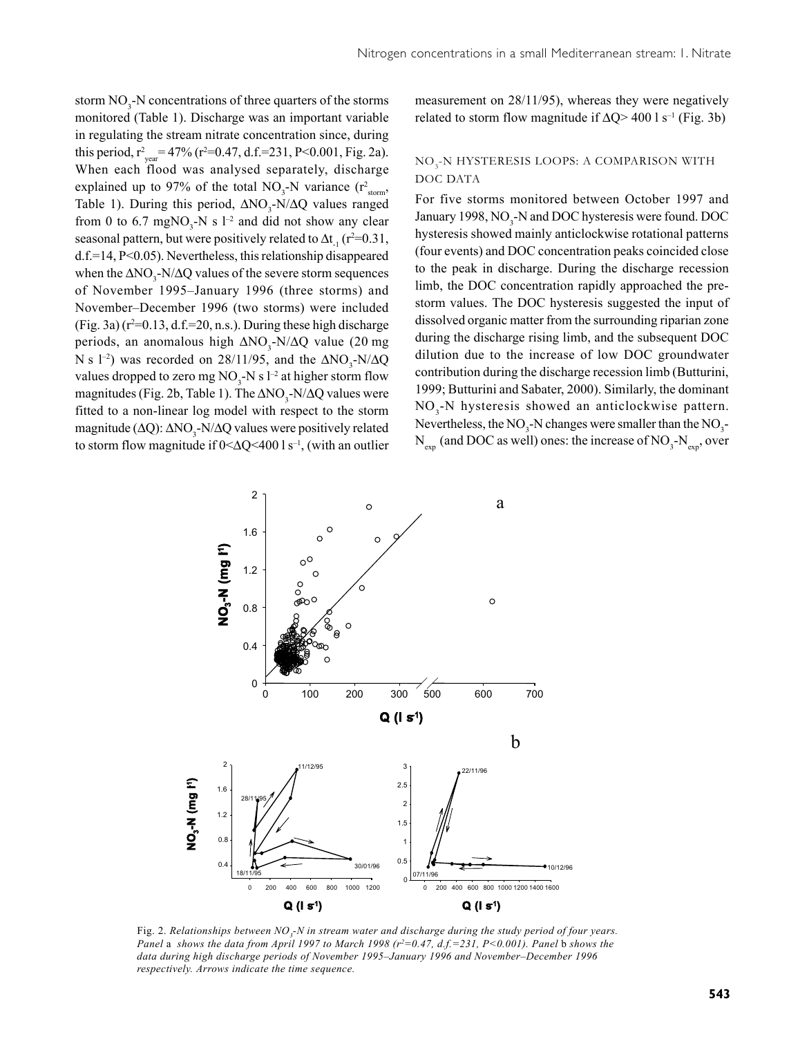storm  $NO_3$ -N concentrations of three quarters of the storms monitored (Table 1). Discharge was an important variable in regulating the stream nitrate concentration since, during this period,  $r_{year}^2 = 47\%$  ( $r^2 = 0.47$ , d.f.=231, P<0.001, Fig. 2a). When each flood was analysed separately, discharge explained up to 97% of the total  $NO_3$ -N variance ( $r^2$ <sub>storm</sub>, Table 1). During this period,  $\Delta NO_3$ -N/ $\Delta Q$  values ranged from 0 to 6.7 mgNO<sub>3</sub>-N s  $l^{-2}$  and did not show any clear seasonal pattern, but were positively related to  $\Delta t_{1}$  (r<sup>2=0.31</sup>, d.f.=14, P<0.05). Nevertheless, this relationship disappeared when the  $\Delta NO_3$ -N/ $\Delta Q$  values of the severe storm sequences of November 1995–January 1996 (three storms) and November–December 1996 (two storms) were included  $(Fig. 3a)$  ( $r^2=0.13$ , d.f.=20, n.s.). During these high discharge periods, an anomalous high  $\Delta NO_3$ -N/ $\Delta Q$  value (20 mg) N s  $1^{-2}$ ) was recorded on 28/11/95, and the  $\Delta NO_3$ -N/ $\Delta Q$ values dropped to zero mg  $NO_3$ -N s l<sup>-2</sup> at higher storm flow magnitudes (Fig. 2b, Table 1). The  $\Delta NO_3$ -N/ $\Delta Q$  values were fitted to a non-linear log model with respect to the storm magnitude ( $\Delta$ Q):  $\Delta$ NO<sub>3</sub>-N/ $\Delta$ Q values were positively related to storm flow magnitude if  $0 < \Delta Q < 400$  l s<sup>-1</sup>, (with an outlier

measurement on 28/11/95), whereas they were negatively related to storm flow magnitude if  $\Delta Q$  > 400 l s<sup>-1</sup> (Fig. 3b)

### NO<sub>3</sub>-N HYSTERESIS LOOPS: A COMPARISON WITH DOC DATA

For five storms monitored between October 1997 and January 1998, NO<sub>3</sub>-N and DOC hysteresis were found. DOC hysteresis showed mainly anticlockwise rotational patterns (four events) and DOC concentration peaks coincided close to the peak in discharge. During the discharge recession limb, the DOC concentration rapidly approached the prestorm values. The DOC hysteresis suggested the input of dissolved organic matter from the surrounding riparian zone during the discharge rising limb, and the subsequent DOC dilution due to the increase of low DOC groundwater contribution during the discharge recession limb (Butturini, 1999; Butturini and Sabater, 2000). Similarly, the dominant NO<sub>3</sub>-N hysteresis showed an anticlockwise pattern. Nevertheless, the  $NO_3$ -N changes were smaller than the  $NO_3$ - $N_{\text{exp}}$  (and DOC as well) ones: the increase of NO<sub>3</sub>-N<sub>exp</sub>, over



Fig. 2. Relationships between NO<sub>3</sub>-N in stream water and discharge during the study period of four years. *Panel a shows the data from April 1997 to March 1998 (r<sup>2</sup>=0.47, d.f.=231, P<0.001). Panel <i>b* shows the *data during high discharge periods of November 1995–January 1996 and November–December 1996 respectively. Arrows indicate the time sequence.*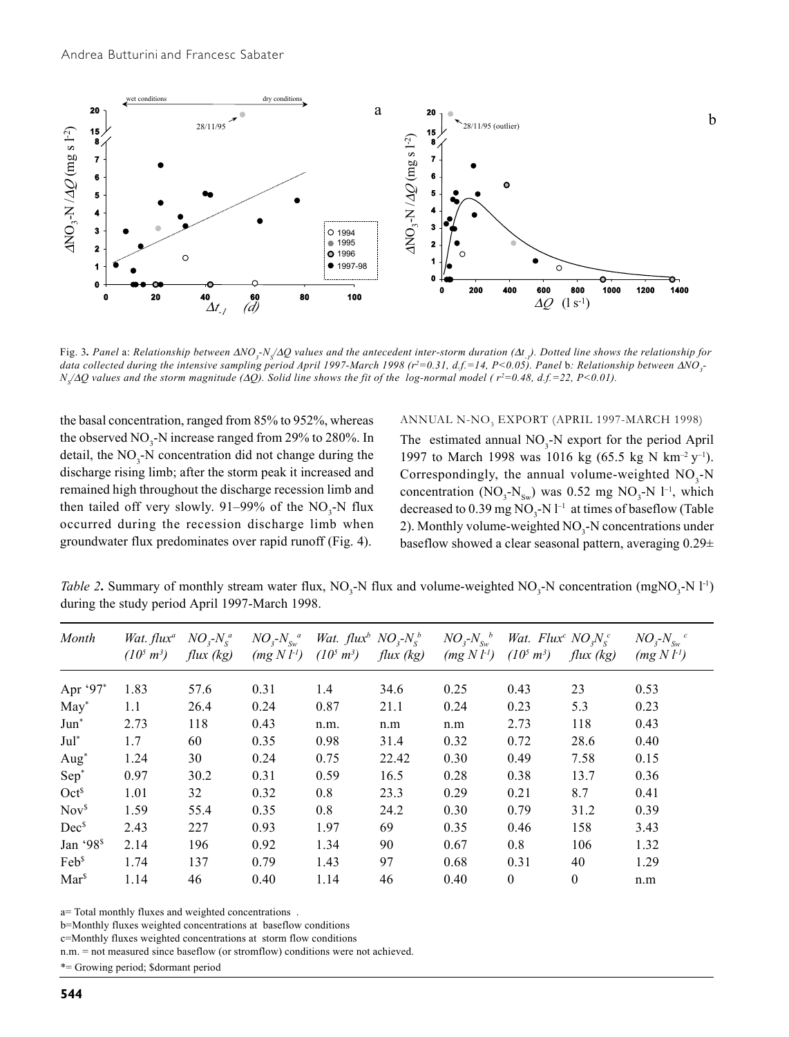

Fig. 3*. Panel* a: *Relationship between* ∆*NO3 -NS /*∆*Q values and the antecedent inter-storm duration (*∆*t -1). Dotted line shows the relationship for*  $d$ ata collected during the intensive sampling period April 1997-March 1998 (r<sup>2</sup>=0.31, d.f.=14, P<0.05). Panel  $b$ : Relationship between ∆NO<sub>3</sub>-*N<sub>s</sub>*/∆Q values and the storm magnitude (∆Q). Solid line shows the fit of the log-normal model ( r<sup>2</sup>=0.48, d.f.=22, P<0.01).

the basal concentration, ranged from 85% to 952%, whereas the observed  $NO_3$ -N increase ranged from 29% to 280%. In detail, the  $NO_3$ -N concentration did not change during the discharge rising limb; after the storm peak it increased and remained high throughout the discharge recession limb and then tailed off very slowly. 91–99% of the  $NO<sub>3</sub>$ -N flux occurred during the recession discharge limb when groundwater flux predominates over rapid runoff (Fig. 4).

### ANNUAL N-NO<sub>3</sub> EXPORT (APRIL 1997-MARCH 1998)

The estimated annual  $NO_3$ -N export for the period April 1997 to March 1998 was 1016 kg (65.5 kg N km<sup>-2</sup> y<sup>-1</sup>). Correspondingly, the annual volume-weighted  $NO<sub>3</sub>$ -N concentration ( $NO_3$ - $N_{sw}$ ) was 0.52 mg  $NO_3$ - $N$  l<sup>-1</sup>, which decreased to  $0.39$  mg  $NO_3$ -N  $l^{-1}$  at times of baseflow (Table 2). Monthly volume-weighted  $NO<sub>3</sub>$ -N concentrations under baseflow showed a clear seasonal pattern, averaging 0.29±

*Table 2*. Summary of monthly stream water flux,  $NO_3$ -N flux and volume-weighted  $NO_3$ -N concentration (mgNO<sub>3</sub>-N l<sup>-1</sup>) during the study period April 1997-March 1998.

| Month                 | Wat. $flux^a$   | $NOs$ - $Nsa$ | $NO3$ - $Nswa$  | Wat. $flux^b NO, -N_s^b$ |           | $NO3$ - $NSw$ <sup>b</sup> | Wat. Flux <sup>c</sup> NO <sub>x</sub> N <sub>c</sub> <sup>c</sup> |              | $NO3$ - $NSw$ <sup>c</sup> |
|-----------------------|-----------------|---------------|-----------------|--------------------------|-----------|----------------------------|--------------------------------------------------------------------|--------------|----------------------------|
|                       | $(10^5 \, m^3)$ | flux (kg)     | $(mg N l^{-1})$ | $(10^5 \, m^3)$          | flux (kg) | $(mg N l^1)$               | $(10^5 \, m^3)$                                                    | flux (kg)    | (mg N l <sup>1</sup> )     |
| Apr '97*              | 1.83            | 57.6          | 0.31            | 1.4                      | 34.6      | 0.25                       | 0.43                                                               | 23           | 0.53                       |
| $May*$                | 1.1             | 26.4          | 0.24            | 0.87                     | 21.1      | 0.24                       | 0.23                                                               | 5.3          | 0.23                       |
| Jun <sup>*</sup>      | 2.73            | 118           | 0.43            | n.m.                     | n.m       | n.m                        | 2.73                                                               | 118          | 0.43                       |
| $Jul^*$               | 1.7             | 60            | 0.35            | 0.98                     | 31.4      | 0.32                       | 0.72                                                               | 28.6         | 0.40                       |
| Aug <sup>*</sup>      | 1.24            | 30            | 0.24            | 0.75                     | 22.42     | 0.30                       | 0.49                                                               | 7.58         | 0.15                       |
| Sep <sup>*</sup>      | 0.97            | 30.2          | 0.31            | 0.59                     | 16.5      | 0.28                       | 0.38                                                               | 13.7         | 0.36                       |
| Oct <sup>§</sup>      | 1.01            | 32            | 0.32            | 0.8                      | 23.3      | 0.29                       | 0.21                                                               | 8.7          | 0.41                       |
| Nov <sup>s</sup>      | 1.59            | 55.4          | 0.35            | 0.8                      | 24.2      | 0.30                       | 0.79                                                               | 31.2         | 0.39                       |
| $Dec^s$               | 2.43            | 227           | 0.93            | 1.97                     | 69        | 0.35                       | 0.46                                                               | 158          | 3.43                       |
| Jan '98 <sup>\$</sup> | 2.14            | 196           | 0.92            | 1.34                     | 90        | 0.67                       | 0.8                                                                | 106          | 1.32                       |
| Feb <sup>s</sup>      | 1.74            | 137           | 0.79            | 1.43                     | 97        | 0.68                       | 0.31                                                               | 40           | 1.29                       |
| Mar <sup>\$</sup>     | 1.14            | 46            | 0.40            | 1.14                     | 46        | 0.40                       | $\theta$                                                           | $\mathbf{0}$ | n.m                        |

a= Total monthly fluxes and weighted concentrations .

b=Monthly fluxes weighted concentrations at baseflow conditions

c=Monthly fluxes weighted concentrations at storm flow conditions

n.m. = not measured since baseflow (or stromflow) conditions were not achieved.

\*= Growing period; \$dormant period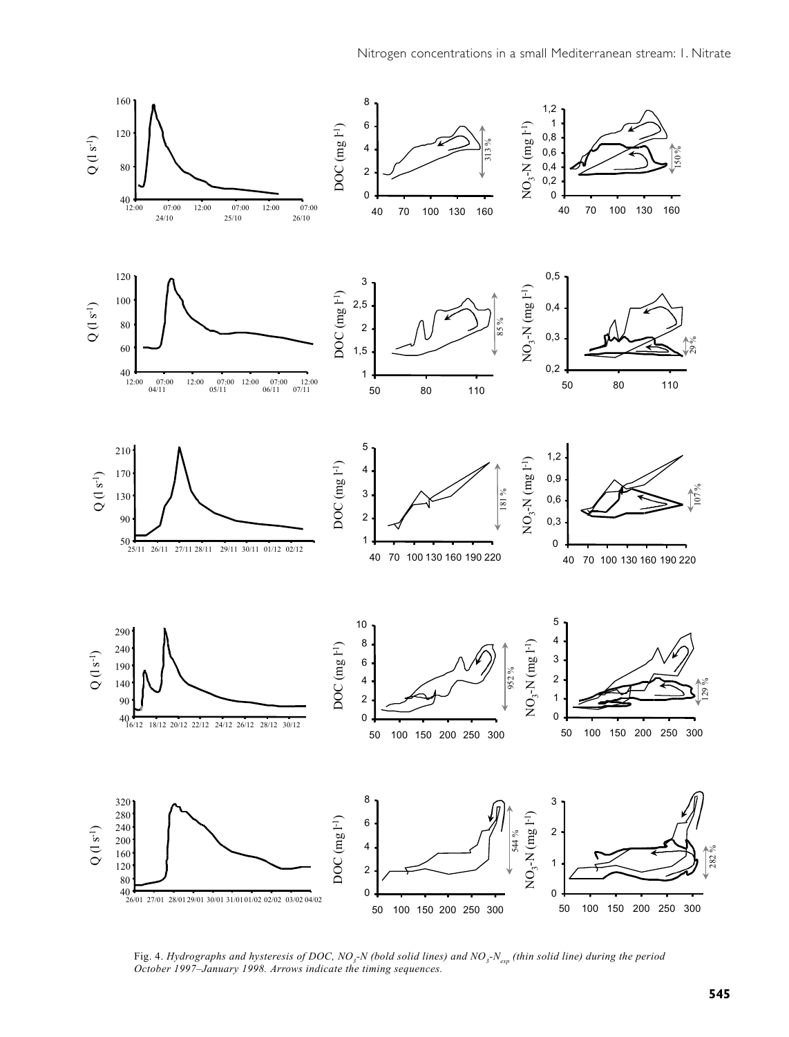

Fig. 4. *Hydrographs and hysteresis of DOC, NO<sub>3</sub>-N (bold solid lines) and NO<sub>3</sub>-N<sub>exp</sub> (thin solid line) during the period October 1997–January 1998. Arrows indicate the timing sequences.*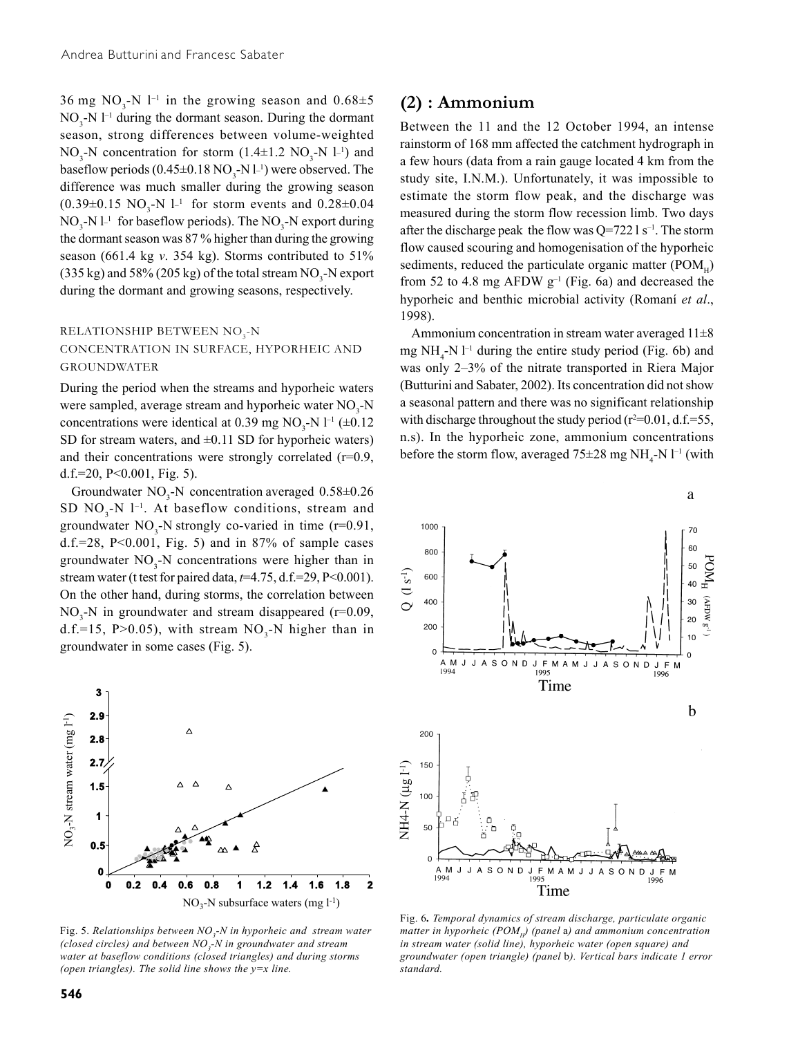36 mg  $NO_3$ -N  $l^{-1}$  in the growing season and  $0.68\pm5$  $NO<sub>3</sub>$ -N l<sup>-1</sup> during the dormant season. During the dormant season, strong differences between volume-weighted  $NO_3$ -N concentration for storm  $(1.4 \pm 1.2 \text{ NO}_3 \text{-N } 1^{-1})$  and baseflow periods  $(0.45 \pm 0.18 \text{ NO}_3\text{-N l}^{-1})$  were observed. The difference was much smaller during the growing season  $(0.39 \pm 0.15 \text{ NO}_3\text{-N l}^{-1}$  for storm events and  $0.28 \pm 0.04$  $NO<sub>3</sub> - N l<sup>-1</sup>$  for baseflow periods). The  $NO<sub>3</sub> - N$  export during the dormant season was 87 % higher than during the growing season (661.4 kg *v*. 354 kg). Storms contributed to 51% (335 kg) and 58% (205 kg) of the total stream  $\text{NO}_3$ -N export during the dormant and growing seasons, respectively.

### RELATIONSHIP BETWEEN  $\rm NO_{3}$ -N CONCENTRATION IN SURFACE, HYPORHEIC AND GROUNDWATER

During the period when the streams and hyporheic waters were sampled, average stream and hyporheic water NO<sub>3</sub>-N concentrations were identical at 0.39 mg  $NO<sub>3</sub>$ -N l<sup>-1</sup> ( $\pm$ 0.12) SD for stream waters, and  $\pm 0.11$  SD for hyporheic waters) and their concentrations were strongly correlated  $(r=0.9,$ d.f.=20,  $P<0.001$ , Fig. 5).

Groundwater  $NO_3$ -N concentration averaged  $0.58 \pm 0.26$ SD  $NO<sub>3</sub>$ -N  $l<sup>-1</sup>$ . At baseflow conditions, stream and groundwater  $NO_3$ -N strongly co-varied in time (r=0.91, d.f.=28,  $P<0.001$ , Fig. 5) and in 87% of sample cases groundwater  $NO_3$ -N concentrations were higher than in stream water (t test for paired data, *t*=4.75, d.f.=29, P<0.001). On the other hand, during storms, the correlation between  $NO<sub>3</sub>-N$  in groundwater and stream disappeared (r=0.09, d.f.=15, P>0.05), with stream  $NO<sub>3</sub>$ -N higher than in groundwater in some cases (Fig. 5).



Fig. 5. Relationships between  $NO<sub>3</sub>$ -N in hyporheic and stream water (closed circles) and between NO<sub>3</sub>-N in groundwater and stream *water at baseflow conditions (closed triangles) and during storms (open triangles). The solid line shows the y=x line.*

### **(2) : Ammonium**

Between the 11 and the 12 October 1994, an intense rainstorm of 168 mm affected the catchment hydrograph in a few hours (data from a rain gauge located 4 km from the study site, I.N.M.). Unfortunately, it was impossible to estimate the storm flow peak, and the discharge was measured during the storm flow recession limb. Two days after the discharge peak the flow was  $Q=7221 s^{-1}$ . The storm flow caused scouring and homogenisation of the hyporheic sediments, reduced the particulate organic matter ( $POM_{\alpha}$ ) from 52 to 4.8 mg AFDW  $g^{-1}$  (Fig. 6a) and decreased the hyporheic and benthic microbial activity (Romaní *et al*., 1998).

Ammonium concentration in stream water averaged  $11\pm8$ mg  $NH_4$ -N  $l^{-1}$  during the entire study period (Fig. 6b) and was only 2–3% of the nitrate transported in Riera Major (Butturini and Sabater, 2002). Its concentration did not show a seasonal pattern and there was no significant relationship with discharge throughout the study period  $(r^2=0.01, d.f.=55,$ n.s). In the hyporheic zone, ammonium concentrations before the storm flow, averaged  $75\pm28$  mg NH<sub>4</sub>-N l<sup>-1</sup> (with



Fig. 6*. Temporal dynamics of stream discharge, particulate organic matter in hyporheic (POM<sub>H</sub>) (panel a) and ammonium concentration in stream water (solid line), hyporheic water (open square) and groundwater (open triangle) (panel* b*). Vertical bars indicate 1 error standard.*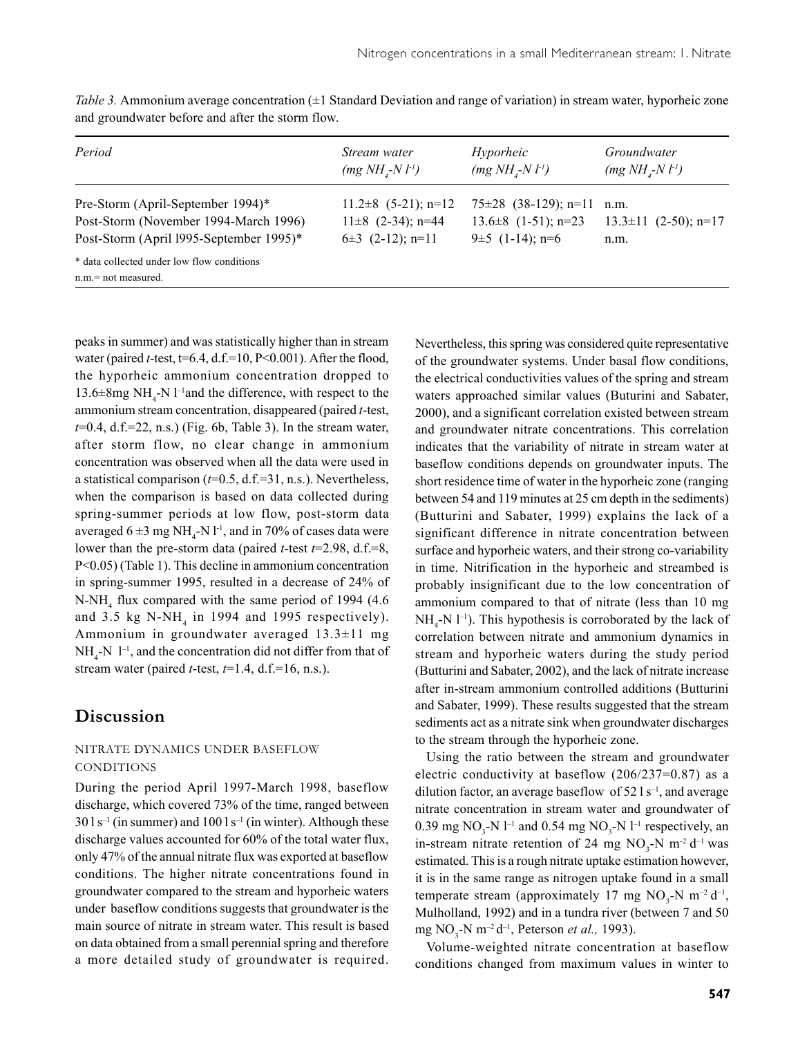| Period                                                               | Stream water             | Hyporheic                 | Groundwater                   |
|----------------------------------------------------------------------|--------------------------|---------------------------|-------------------------------|
|                                                                      | $(mg NHi-N l-1)$         | $(mg NHi-N l-1)$          | $(mg NHi-N l-1)$              |
| Pre-Storm (April-September 1994)*                                    | $11.2\pm 8$ (5-21); n=12 | $75\pm28$ (38-129); n=11  | n.m.                          |
| Post-Storm (November 1994-March 1996)                                | $11\pm8$ (2-34); n=44    | $13.6 \pm 8$ (1-51); n=23 | $13.3 \pm 11$ $(2-50)$ ; n=17 |
| Post-Storm (April 1995-September 1995)*                              | $6\pm3$ (2-12); n=11     | 9 $\pm$ 5 (1-14); n=6     | n.m.                          |
| * data collected under low flow conditions<br>$n.m = not measured$ . |                          |                           |                               |

*Table 3.* Ammonium average concentration ( $\pm 1$  Standard Deviation and range of variation) in stream water, hyporheic zone and groundwater before and after the storm flow.

peaks in summer) and was statistically higher than in stream water (paired *t*-test,  $t=6.4$ ,  $d.f.=10$ ,  $P<0.001$ ). After the flood, the hyporheic ammonium concentration dropped to 13.6 $\pm$ 8mg NH<sub>4</sub>-N l<sup>-1</sup>and the difference, with respect to the ammonium stream concentration, disappeared (paired *t*-test, *t*=0.4, d.f.=22, n.s.) (Fig. 6b, Table 3). In the stream water, after storm flow, no clear change in ammonium concentration was observed when all the data were used in a statistical comparison (*t*=0.5, d.f.=31, n.s.). Nevertheless, when the comparison is based on data collected during spring-summer periods at low flow, post-storm data averaged  $6 \pm 3$  mg NH<sub>4</sub>-N l<sup>-1</sup>, and in 70% of cases data were lower than the pre-storm data (paired *t*-test *t*=2.98, d.f.=8, P<0.05) (Table 1). This decline in ammonium concentration in spring-summer 1995, resulted in a decrease of 24% of N-NH4 flux compared with the same period of 1994 (4.6 and 3.5 kg  $N-NH_4$  in 1994 and 1995 respectively). Ammonium in groundwater averaged 13.3±11 mg  $NH_4$ -N  $1^{-1}$ , and the concentration did not differ from that of stream water (paired *t*-test, *t*=1.4, d.f.=16, n.s.).

### **Discussion**

### NITRATE DYNAMICS UNDER BASEFLOW **CONDITIONS**

During the period April 1997-March 1998, baseflow discharge, which covered 73% of the time, ranged between  $30 \text{ 1 s}^{-1}$  (in summer) and  $100 \text{ 1 s}^{-1}$  (in winter). Although these discharge values accounted for 60% of the total water flux, only 47% of the annual nitrate flux was exported at baseflow conditions. The higher nitrate concentrations found in groundwater compared to the stream and hyporheic waters under baseflow conditions suggests that groundwater is the main source of nitrate in stream water. This result is based on data obtained from a small perennial spring and therefore a more detailed study of groundwater is required. Nevertheless, this spring was considered quite representative of the groundwater systems. Under basal flow conditions, the electrical conductivities values of the spring and stream waters approached similar values (Buturini and Sabater, 2000), and a significant correlation existed between stream and groundwater nitrate concentrations. This correlation indicates that the variability of nitrate in stream water at baseflow conditions depends on groundwater inputs. The short residence time of water in the hyporheic zone (ranging between 54 and 119 minutes at 25 cm depth in the sediments) (Butturini and Sabater, 1999) explains the lack of a significant difference in nitrate concentration between surface and hyporheic waters, and their strong co-variability in time. Nitrification in the hyporheic and streambed is probably insignificant due to the low concentration of ammonium compared to that of nitrate (less than 10 mg  $NH_4$ -N  $l^{-1}$ ). This hypothesis is corroborated by the lack of correlation between nitrate and ammonium dynamics in stream and hyporheic waters during the study period (Butturini and Sabater, 2002), and the lack of nitrate increase after in-stream ammonium controlled additions (Butturini and Sabater, 1999). These results suggested that the stream sediments act as a nitrate sink when groundwater discharges to the stream through the hyporheic zone.

Using the ratio between the stream and groundwater electric conductivity at baseflow (206/237=0.87) as a dilution factor, an average baseflow of  $52 \text{ 1 s}^{-1}$ , and average nitrate concentration in stream water and groundwater of 0.39 mg  $NO_3$ -N  $l^{-1}$  and 0.54 mg  $NO_3$ -N  $l^{-1}$  respectively, an in-stream nitrate retention of 24 mg  $NO_3$ -N m<sup>-2</sup> d<sup>-1</sup> was estimated. This is a rough nitrate uptake estimation however, it is in the same range as nitrogen uptake found in a small temperate stream (approximately 17 mg  $NO_3$ -N m<sup>-2</sup> d<sup>-1</sup>, Mulholland, 1992) and in a tundra river (between 7 and 50 mg NO<sub>3</sub>-N m<sup>-2</sup> d<sup>-1</sup>, Peterson *et al.*, 1993).

Volume-weighted nitrate concentration at baseflow conditions changed from maximum values in winter to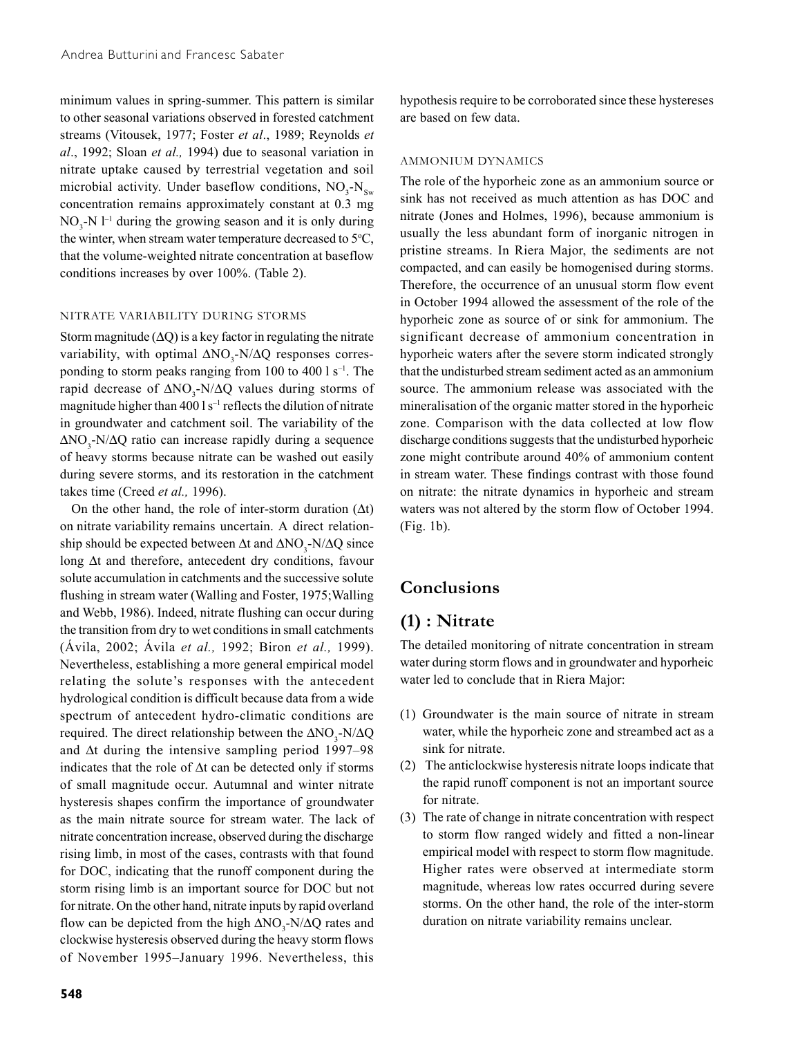minimum values in spring-summer. This pattern is similar to other seasonal variations observed in forested catchment streams (Vitousek, 1977; Foster *et al*., 1989; Reynolds *et al*., 1992; Sloan *et al.,* 1994) due to seasonal variation in nitrate uptake caused by terrestrial vegetation and soil microbial activity. Under baseflow conditions,  $NO_3$ - $N_{Sw}$ concentration remains approximately constant at 0.3 mg  $NO<sub>3</sub> - N l<sup>-1</sup>$  during the growing season and it is only during the winter, when stream water temperature decreased to  $5^{\circ}C$ , that the volume-weighted nitrate concentration at baseflow conditions increases by over 100%. (Table 2).

#### NITRATE VARIABILITY DURING STORMS

Storm magnitude  $(ΔQ)$  is a key factor in regulating the nitrate variability, with optimal  $\Delta NO_3-N/\Delta Q$  responses corresponding to storm peaks ranging from 100 to 400  $\rm l s^{-1}$ . The rapid decrease of  $\Delta NO_3$ -N/ $\Delta Q$  values during storms of magnitude higher than  $400 \, \text{I s}^{-1}$  reflects the dilution of nitrate in groundwater and catchment soil. The variability of the  $\Delta NO_3$ -N/ $\Delta Q$  ratio can increase rapidly during a sequence of heavy storms because nitrate can be washed out easily during severe storms, and its restoration in the catchment takes time (Creed *et al.,* 1996).

On the other hand, the role of inter-storm duration  $(\Delta t)$ on nitrate variability remains uncertain. A direct relationship should be expected between  $\Delta t$  and  $\Delta N O_3$ -N/ $\Delta Q$  since long ∆t and therefore, antecedent dry conditions, favour solute accumulation in catchments and the successive solute flushing in stream water (Walling and Foster, 1975;Walling and Webb, 1986). Indeed, nitrate flushing can occur during the transition from dry to wet conditions in small catchments (Ávila, 2002; Ávila *et al.,* 1992; Biron *et al.,* 1999). Nevertheless, establishing a more general empirical model relating the solute's responses with the antecedent hydrological condition is difficult because data from a wide spectrum of antecedent hydro-climatic conditions are required. The direct relationship between the  $\Delta NO_3$ -N/ $\Delta Q$ and ∆t during the intensive sampling period 1997–98 indicates that the role of ∆t can be detected only if storms of small magnitude occur. Autumnal and winter nitrate hysteresis shapes confirm the importance of groundwater as the main nitrate source for stream water. The lack of nitrate concentration increase, observed during the discharge rising limb, in most of the cases, contrasts with that found for DOC, indicating that the runoff component during the storm rising limb is an important source for DOC but not for nitrate. On the other hand, nitrate inputs by rapid overland flow can be depicted from the high  $\Delta NO_3-N/\Delta Q$  rates and clockwise hysteresis observed during the heavy storm flows of November 1995–January 1996. Nevertheless, this

hypothesis require to be corroborated since these hystereses are based on few data.

### AMMONIUM DYNAMICS

The role of the hyporheic zone as an ammonium source or sink has not received as much attention as has DOC and nitrate (Jones and Holmes, 1996), because ammonium is usually the less abundant form of inorganic nitrogen in pristine streams. In Riera Major, the sediments are not compacted, and can easily be homogenised during storms. Therefore, the occurrence of an unusual storm flow event in October 1994 allowed the assessment of the role of the hyporheic zone as source of or sink for ammonium. The significant decrease of ammonium concentration in hyporheic waters after the severe storm indicated strongly that the undisturbed stream sediment acted as an ammonium source. The ammonium release was associated with the mineralisation of the organic matter stored in the hyporheic zone. Comparison with the data collected at low flow discharge conditions suggests that the undisturbed hyporheic zone might contribute around 40% of ammonium content in stream water. These findings contrast with those found on nitrate: the nitrate dynamics in hyporheic and stream waters was not altered by the storm flow of October 1994. (Fig. 1b).

# **Conclusions**

# **(1) : Nitrate**

The detailed monitoring of nitrate concentration in stream water during storm flows and in groundwater and hyporheic water led to conclude that in Riera Major:

- (1) Groundwater is the main source of nitrate in stream water, while the hyporheic zone and streambed act as a sink for nitrate.
- (2) The anticlockwise hysteresis nitrate loops indicate that the rapid runoff component is not an important source for nitrate.
- (3) The rate of change in nitrate concentration with respect to storm flow ranged widely and fitted a non-linear empirical model with respect to storm flow magnitude. Higher rates were observed at intermediate storm magnitude, whereas low rates occurred during severe storms. On the other hand, the role of the inter-storm duration on nitrate variability remains unclear.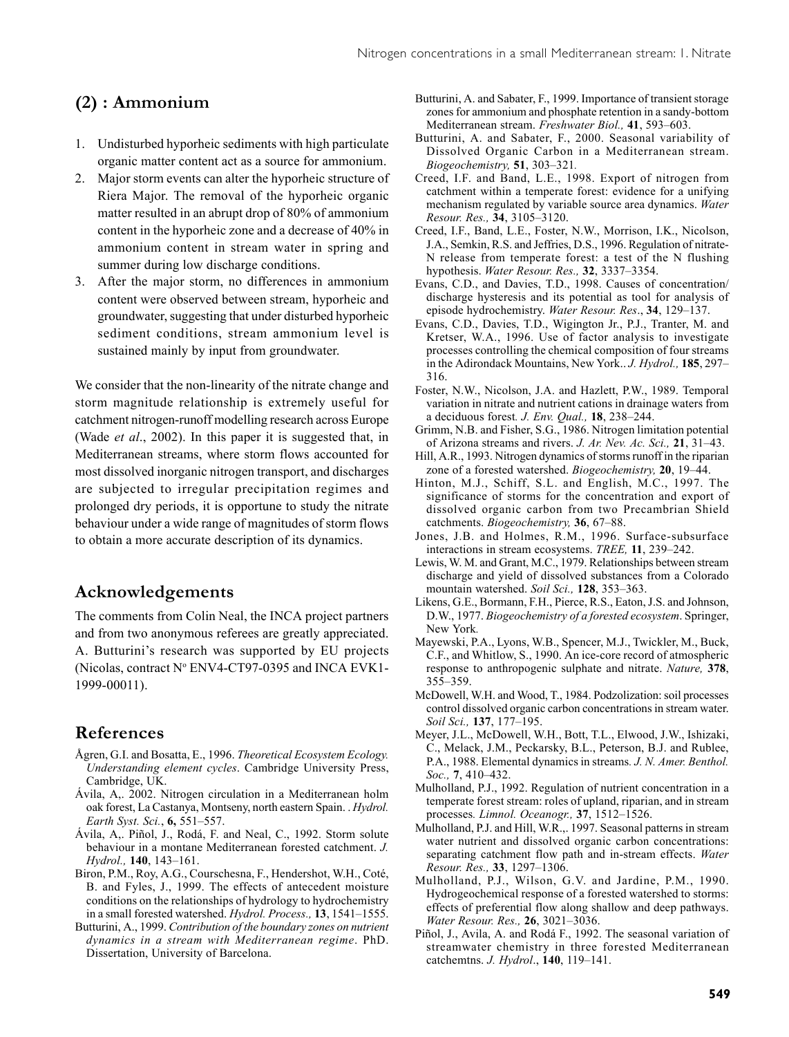# **(2) : Ammonium**

- 1. Undisturbed hyporheic sediments with high particulate organic matter content act as a source for ammonium.
- 2. Major storm events can alter the hyporheic structure of Riera Major. The removal of the hyporheic organic matter resulted in an abrupt drop of 80% of ammonium content in the hyporheic zone and a decrease of 40% in ammonium content in stream water in spring and summer during low discharge conditions.
- 3. After the major storm, no differences in ammonium content were observed between stream, hyporheic and groundwater, suggesting that under disturbed hyporheic sediment conditions, stream ammonium level is sustained mainly by input from groundwater.

We consider that the non-linearity of the nitrate change and storm magnitude relationship is extremely useful for catchment nitrogen-runoff modelling research across Europe (Wade *et al*., 2002). In this paper it is suggested that, in Mediterranean streams, where storm flows accounted for most dissolved inorganic nitrogen transport, and discharges are subjected to irregular precipitation regimes and prolonged dry periods, it is opportune to study the nitrate behaviour under a wide range of magnitudes of storm flows to obtain a more accurate description of its dynamics.

### **Acknowledgements**

The comments from Colin Neal, the INCA project partners and from two anonymous referees are greatly appreciated. A. Butturini's research was supported by EU projects (Nicolas, contract N° ENV4-CT97-0395 and INCA EVK1-1999-00011).

# **References**

- Ågren, G.I. and Bosatta, E., 1996. *Theoretical Ecosystem Ecology. Understanding element cycles*. Cambridge University Press, Cambridge, UK.
- Ávila, A,. 2002. Nitrogen circulation in a Mediterranean holm oak forest, La Castanya, Montseny, north eastern Spain. . *Hydrol. Earth Syst. Sci.*, **6,** 551–557.
- Ávila, A,. Piñol, J., Rodá, F. and Neal, C., 1992. Storm solute behaviour in a montane Mediterranean forested catchment. *J. Hydrol.,* **140**, 143–161.
- Biron, P.M., Roy, A.G., Courschesna, F., Hendershot, W.H., Coté, B. and Fyles, J., 1999. The effects of antecedent moisture conditions on the relationships of hydrology to hydrochemistry in a small forested watershed. *Hydrol. Process.,* **13**, 1541–1555.
- Butturini, A., 1999. *Contribution of the boundary zones on nutrient dynamics in a stream with Mediterranean regime*. PhD. Dissertation, University of Barcelona.
- Butturini, A. and Sabater, F., 1999. Importance of transient storage zones for ammonium and phosphate retention in a sandy-bottom Mediterranean stream. *Freshwater Biol.,* **41**, 593–603.
- Butturini, A. and Sabater, F., 2000. Seasonal variability of Dissolved Organic Carbon in a Mediterranean stream. *Biogeochemistry,* **51**, 303–321*.*
- Creed, I.F. and Band, L.E., 1998. Export of nitrogen from catchment within a temperate forest: evidence for a unifying mechanism regulated by variable source area dynamics. *Water Resour. Res.,* **34**, 3105–3120.
- Creed, I.F., Band, L.E., Foster, N.W., Morrison, I.K., Nicolson, J.A., Semkin, R.S. and Jeffries, D.S., 1996. Regulation of nitrate-N release from temperate forest: a test of the N flushing hypothesis. *Water Resour. Res.,* **32**, 3337–3354.
- Evans, C.D., and Davies, T.D., 1998. Causes of concentration/ discharge hysteresis and its potential as tool for analysis of episode hydrochemistry. *Water Resour. Res*., **34**, 129–137.
- Evans, C.D., Davies, T.D., Wigington Jr., P.J., Tranter, M. and Kretser, W.A., 1996. Use of factor analysis to investigate processes controlling the chemical composition of four streams in the Adirondack Mountains, New York.. *J. Hydrol.,* **185**, 297– 316.
- Foster, N.W., Nicolson, J.A. and Hazlett, P.W., 1989. Temporal variation in nitrate and nutrient cations in drainage waters from a deciduous forest*. J. Env. Qual.,* **18**, 238–244.
- Grimm, N.B. and Fisher, S.G., 1986. Nitrogen limitation potential of Arizona streams and rivers. *J. Ar. Nev. Ac. Sci.,* **21**, 31–43.
- Hill, A.R., 1993. Nitrogen dynamics of storms runoff in the riparian zone of a forested watershed. *Biogeochemistry,* **20**, 19–44.
- Hinton, M.J., Schiff, S.L. and English, M.C., 1997. The significance of storms for the concentration and export of dissolved organic carbon from two Precambrian Shield catchments. *Biogeochemistry,* **36**, 67–88.
- Jones, J.B. and Holmes, R.M., 1996. Surface-subsurface interactions in stream ecosystems. *TREE,* **11**, 239–242.
- Lewis, W. M. and Grant, M.C., 1979. Relationships between stream discharge and yield of dissolved substances from a Colorado mountain watershed. *Soil Sci.,* **128**, 353–363.
- Likens, G.E., Bormann, F.H., Pierce, R.S., Eaton, J.S. and Johnson, D.W., 1977. *Biogeochemistry of a forested ecosystem*. Springer, New York*.*
- Mayewski, P.A., Lyons, W.B., Spencer, M.J., Twickler, M., Buck, C.F., and Whitlow, S., 1990. An ice-core record of atmospheric response to anthropogenic sulphate and nitrate. *Nature,* **378**, 355–359.
- McDowell, W.H. and Wood, T., 1984. Podzolization: soil processes control dissolved organic carbon concentrations in stream water. *Soil Sci.,* **137**, 177–195.
- Meyer, J.L., McDowell, W.H., Bott, T.L., Elwood, J.W., Ishizaki, C., Melack, J.M., Peckarsky, B.L., Peterson, B.J. and Rublee, P.A., 1988. Elemental dynamics in streams*. J. N. Amer. Benthol. Soc.,* **7**, 410–432.
- Mulholland, P.J., 1992. Regulation of nutrient concentration in a temperate forest stream: roles of upland, riparian, and in stream processes*. Limnol. Oceanogr.,* **37**, 1512–1526.
- Mulholland, P.J. and Hill, W.R.,. 1997. Seasonal patterns in stream water nutrient and dissolved organic carbon concentrations: separating catchment flow path and in-stream effects. *Water Resour. Res.,* **33**, 1297–1306.
- Mulholland, P.J., Wilson, G.V. and Jardine, P.M., 1990. Hydrogeochemical response of a forested watershed to storms: effects of preferential flow along shallow and deep pathways. *Water Resour. Res.,* **26**, 3021–3036.
- Piñol, J., Avila, A. and Rodá F., 1992. The seasonal variation of streamwater chemistry in three forested Mediterranean catchemtns. *J. Hydrol*., **140**, 119–141.